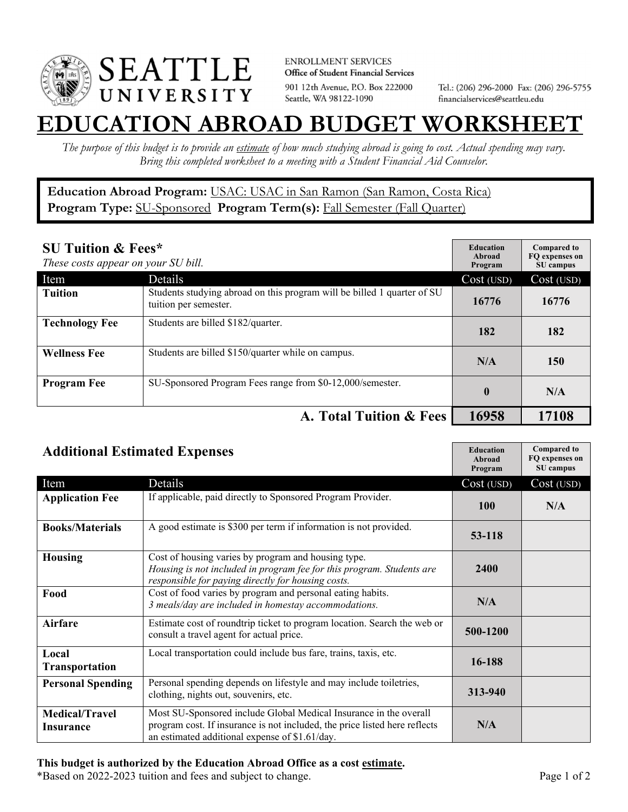

**ENROLLMENT SERVICES** Office of Student Financial Services 901 12th Avenue, P.O. Box 222000 Seattle, WA 98122-1090

Tel.: (206) 296-2000 Fax: (206) 296-5755 financialservices@seattleu.edu

## **EATION ABROAD BUDGET WORKSHEE**

*The purpose of this budget is to provide an estimate of how much studying abroad is going to cost. Actual spending may vary. Bring this completed worksheet to a meeting with a Student Financial Aid Counselor.* 

**Education Abroad Program:** USAC: USAC in San Ramon (San Ramon, Costa Rica) Program Type: **SU-Sponsored** Program Term(s): **Fall Semester (Fall Quarter)** 

| <b>SU Tuition &amp; Fees*</b><br>These costs appear on your SU bill. |                                                                                                  | <b>Education</b><br>Abroad<br>Program | <b>Compared to</b><br>FO expenses on<br>SU campus |
|----------------------------------------------------------------------|--------------------------------------------------------------------------------------------------|---------------------------------------|---------------------------------------------------|
| Item                                                                 | Details                                                                                          | Cost (USD)                            | Cost (USD)                                        |
| <b>Tuition</b>                                                       | Students studying abroad on this program will be billed 1 quarter of SU<br>tuition per semester. | 16776                                 | 16776                                             |
| <b>Technology Fee</b>                                                | Students are billed \$182/quarter.                                                               | 182                                   | 182                                               |
| <b>Wellness Fee</b>                                                  | Students are billed \$150/quarter while on campus.                                               | N/A                                   | 150                                               |
| <b>Program Fee</b>                                                   | SU-Sponsored Program Fees range from \$0-12,000/semester.                                        | $\boldsymbol{0}$                      | N/A                                               |
|                                                                      | A. Total Tuition & Fees                                                                          | 16958                                 | 17108                                             |

| <b>Additional Estimated Expenses</b> |                                                                                                                                                                                                   | <b>Education</b><br>Abroad<br>Program | <b>Compared to</b><br>FQ expenses on<br>SU campus |
|--------------------------------------|---------------------------------------------------------------------------------------------------------------------------------------------------------------------------------------------------|---------------------------------------|---------------------------------------------------|
| Item                                 | Details                                                                                                                                                                                           | Cost (USD)                            | Cost (USD)                                        |
| <b>Application Fee</b>               | If applicable, paid directly to Sponsored Program Provider.                                                                                                                                       | <b>100</b>                            | N/A                                               |
| <b>Books/Materials</b>               | A good estimate is \$300 per term if information is not provided.                                                                                                                                 | 53-118                                |                                                   |
| <b>Housing</b>                       | Cost of housing varies by program and housing type.<br>Housing is not included in program fee for this program. Students are<br>responsible for paying directly for housing costs.                | 2400                                  |                                                   |
| Food                                 | Cost of food varies by program and personal eating habits.<br>3 meals/day are included in homestay accommodations.                                                                                | N/A                                   |                                                   |
| <b>Airfare</b>                       | Estimate cost of roundtrip ticket to program location. Search the web or<br>consult a travel agent for actual price.                                                                              | 500-1200                              |                                                   |
| Local<br>Transportation              | Local transportation could include bus fare, trains, taxis, etc.                                                                                                                                  | 16-188                                |                                                   |
| <b>Personal Spending</b>             | Personal spending depends on lifestyle and may include toiletries,<br>clothing, nights out, souvenirs, etc.                                                                                       | 313-940                               |                                                   |
| <b>Medical/Travel</b><br>Insurance   | Most SU-Sponsored include Global Medical Insurance in the overall<br>program cost. If insurance is not included, the price listed here reflects<br>an estimated additional expense of \$1.61/day. | N/A                                   |                                                   |

## **This budget is authorized by the Education Abroad Office as a cost estimate.**

\*Based on 2022-2023 tuition and fees and subject to change. Page 1 of 2